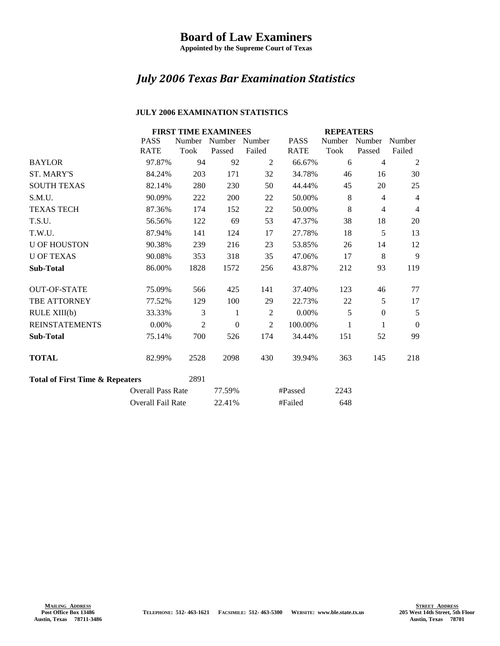## **Board of Law Examiners**

**Appointed by the Supreme Court of Texas**

## *July 2006 Texas Bar Examination Statistics*

## **JULY 2006 EXAMINATION STATISTICS**

|                                                    |                   | <b>FIRST TIME EXAMINEES</b> |                      |                |             | <b>REPEATERS</b> |                  |                  |
|----------------------------------------------------|-------------------|-----------------------------|----------------------|----------------|-------------|------------------|------------------|------------------|
|                                                    | <b>PASS</b>       |                             | Number Number Number |                | <b>PASS</b> | Number           | Number           | Number           |
|                                                    | <b>RATE</b>       | Took                        | Passed               | Failed         | <b>RATE</b> | Took             | Passed           | Failed           |
| <b>BAYLOR</b>                                      | 97.87%            | 94                          | 92                   | 2              | 66.67%      | 6                | $\overline{4}$   | $\overline{2}$   |
| <b>ST. MARY'S</b>                                  | 84.24%            | 203                         | 171                  | 32             | 34.78%      | 46               | 16               | 30               |
| <b>SOUTH TEXAS</b>                                 | 82.14%            | 280                         | 230                  | 50             | 44.44%      | 45               | 20               | 25               |
| S.M.U.                                             | 90.09%            | 222                         | 200                  | 22             | 50.00%      | 8                | $\overline{4}$   | $\overline{4}$   |
| <b>TEXAS TECH</b>                                  | 87.36%            | 174                         | 152                  | 22             | 50.00%      | 8                | $\overline{4}$   | $\overline{4}$   |
| T.S.U.                                             | 56.56%            | 122                         | 69                   | 53             | 47.37%      | 38               | 18               | 20               |
| T.W.U.                                             | 87.94%            | 141                         | 124                  | 17             | 27.78%      | 18               | 5                | 13               |
| <b>U OF HOUSTON</b>                                | 90.38%            | 239                         | 216                  | 23             | 53.85%      | 26               | 14               | 12               |
| <b>U OF TEXAS</b>                                  | 90.08%            | 353                         | 318                  | 35             | 47.06%      | 17               | 8                | 9                |
| <b>Sub-Total</b>                                   | 86.00%            | 1828                        | 1572                 | 256            | 43.87%      | 212              | 93               | 119              |
| <b>OUT-OF-STATE</b>                                | 75.09%            | 566                         | 425                  | 141            | 37.40%      | 123              | 46               | 77               |
| <b>TBE ATTORNEY</b>                                | 77.52%            | 129                         | 100                  | 29             | 22.73%      | 22               | 5                | 17               |
| RULE XIII(b)                                       | 33.33%            | 3                           | 1                    | $\overline{2}$ | 0.00%       | 5                | $\boldsymbol{0}$ | 5                |
| <b>REINSTATEMENTS</b>                              | 0.00%             | $\overline{2}$              | $\boldsymbol{0}$     | $\overline{2}$ | 100.00%     | 1                | 1                | $\boldsymbol{0}$ |
| <b>Sub-Total</b>                                   | 75.14%            | 700                         | 526                  | 174            | 34.44%      | 151              | 52               | 99               |
| <b>TOTAL</b>                                       | 82.99%            | 2528                        | 2098                 | 430            | 39.94%      | 363              | 145              | 218              |
| 2891<br><b>Total of First Time &amp; Repeaters</b> |                   |                             |                      |                |             |                  |                  |                  |
| <b>Overall Pass Rate</b>                           |                   | 77.59%                      |                      | #Passed        | 2243        |                  |                  |                  |
|                                                    | Overall Fail Rate |                             | 22.41%               |                | #Failed     | 648              |                  |                  |